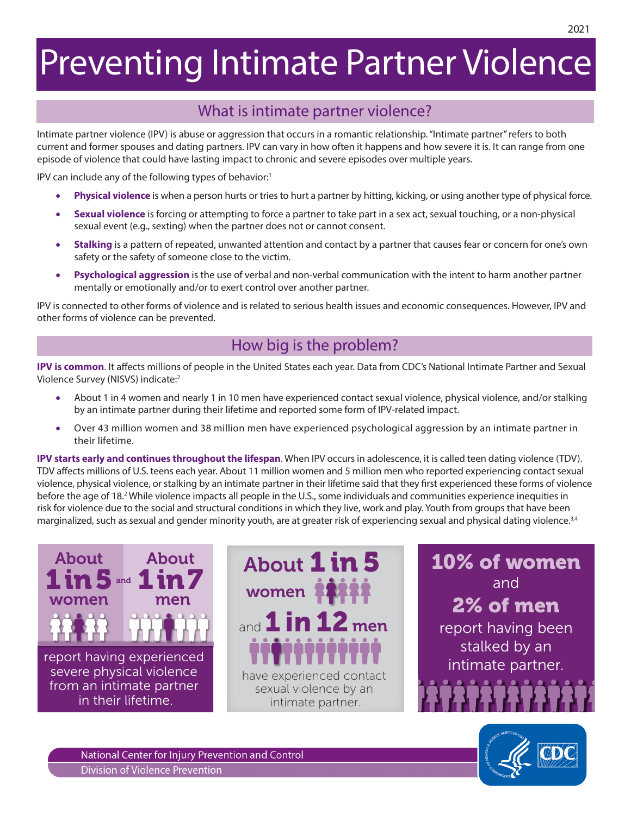# Preventing Intimate Partner Violence

## What is intimate partner violence?

Intimate partner violence (IPV) is abuse or aggression that occurs in a romantic relationship. "Intimate partner" refers to both current and former spouses and dating partners. IPV can vary in how often it happens and how severe it is. It can range from one episode of violence that could have lasting impact to chronic and severe episodes over multiple years.

IPV can include any of the following types of behavior:<sup>1</sup>

- **Physical violence** is when a person hurts or tries to hurt a partner by hitting, kicking, or using another type of physical force.
- **Sexual violence** is forcing or attempting to force a partner to take part in a sex act, sexual touching, or a non-physical sexual event (e.g., sexting) when the partner does not or cannot consent.
- **Stalking** is a pattern of repeated, unwanted attention and contact by a partner that causes fear or concern for one's own safety or the safety of someone close to the victim.
- **Psychological aggression** is the use of verbal and non-verbal communication with the intent to harm another partner mentally or emotionally and/or to exert control over another partner.

IPV is connected to other forms of violence and is related to serious health issues and economic consequences. However, IPV and other forms of violence can be prevented.

## How big is the problem?

**IPV is common**. It affects millions of people in the United States each year. Data from CDC's National Intimate Partner and Sexual Violence Survey (NISVS) indicate:2

- About 1 in 4 women and nearly 1 in 10 men have experienced contact sexual violence, physical violence, and/or stalking by an intimate partner during their lifetime and reported some form of IPV-related impact.
- Over 43 million women and 38 million men have experienced psychological aggression by an intimate partner in their lifetime.

**IPV starts early and continues throughout the lifespan**. When IPV occurs in adolescence, it is called teen dating violence (TDV). TDV affects millions of U.S. teens each year. About 11 million women and 5 million men who reported experiencing contact sexual violence, physical violence, or stalking by an intimate partner in their lifetime said that they first experienced these forms of violence before the age of 18.<sup>2</sup> While violence impacts all people in the U.S., some individuals and communities experience inequities in risk for violence due to the social and structural conditions in which they live, work and play. Youth from groups that have been marginalized, such as sexual and gender minority youth, are at greater risk of experiencing sexual and physical dating violence.<sup>3,4</sup>





10% of women and 2% of men report having been stalked by an intimate partner.